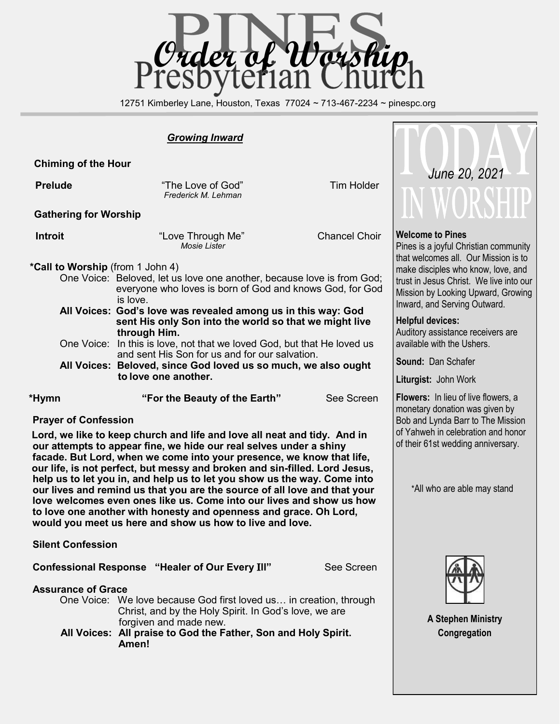

12751 Kimberley Lane, Houston, Texas 77024 ~ 713-467-2234 ~ pinespc.org

#### *Growing Inward*

 **Chiming of the Hour**

**Prelude Comparison Comparison Comparison Tim Holder Tim Holder** *Frederick M. Lehman*

**Gathering for Worship**

**Introit Chancel Choir Chancel Choir Chancel Choir Chancel Choir** *Mosie Lister*

 **\*Call to Worship** (from 1 John 4)

- One Voice: Beloved, let us love one another, because love is from God; everyone who loves is born of God and knows God, for God is love.
- **All Voices: God's love was revealed among us in this way: God sent His only Son into the world so that we might live through Him.**
- One Voice: In this is love, not that we loved God, but that He loved us and sent His Son for us and for our salvation.
- **All Voices: Beloved, since God loved us so much, we also ought to love one another.**

 **\*Hymn "For the Beauty of the Earth"** See Screen

#### **Prayer of Confession**

 **Lord, we like to keep church and life and love all neat and tidy. And in our attempts to appear fine, we hide our real selves under a shiny facade. But Lord, when we come into your presence, we know that life, our life, is not perfect, but messy and broken and sin-filled. Lord Jesus, help us to let you in, and help us to let you show us the way. Come into our lives and remind us that you are the source of all love and that your love welcomes even ones like us. Come into our lives and show us how to love one another with honesty and openness and grace. Oh Lord, would you meet us here and show us how to live and love.** 

 **Silent Confession**

 **Confessional Response "Healer of Our Every** I**ll"** See Screen

**Assurance of Grace** 

- One Voice: We love because God first loved us… in creation, through Christ, and by the Holy Spirit. In God's love, we are forgiven and made new.
- **All Voices: All praise to God the Father, Son and Holy Spirit. Amen!**



#### **Welcome to Pines**

Pines is a joyful Christian community that welcomes all. Our Mission is to make disciples who know, love, and trust in Jesus Christ. We live into our Mission by Looking Upward, Growing Inward, and Serving Outward.

#### **Helpful devices:**

Auditory assistance receivers are available with the Ushers.

**Sound:** Dan Schafer

**Liturgist:** John Work

**Flowers:** In lieu of live flowers, a monetary donation was given by Bob and Lynda Barr to The Mission of Yahweh in celebration and honor of their 61st wedding anniversary.

\*All who are able may stand



**A Stephen Ministry Congregation**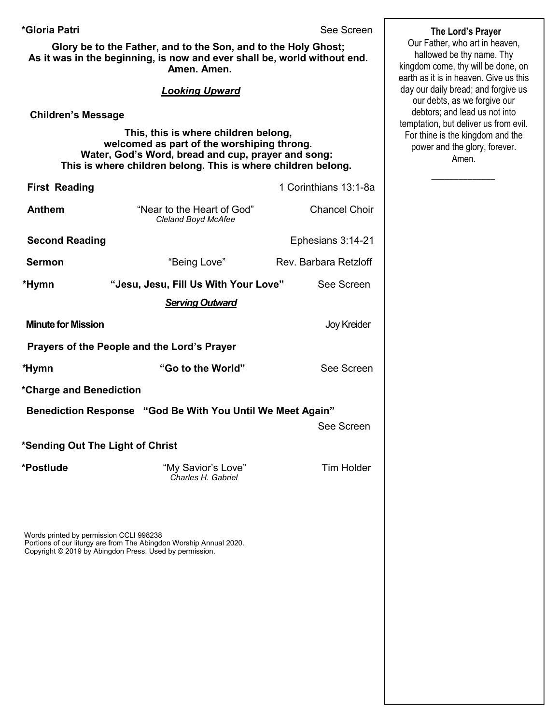#### **\*Gloria Patri** See Screen

**Glory be to the Father, and to the Son, and to the Holy Ghost; As it was in the beginning, is now and ever shall be, world without end. Amen. Amen.** 

#### *Looking Upward*

#### **Children's Message**

 **This, this is where children belong, welcomed as part of the worshiping throng. Water, God's Word, bread and cup, prayer and song: This is where children belong. This is where children belong.**

| <b>First Reading</b>                                       |                                                                    | 1 Corinthians 13:1-8a |  |  |
|------------------------------------------------------------|--------------------------------------------------------------------|-----------------------|--|--|
| <b>Anthem</b>                                              | "Near to the Heart of God"<br>Cleland Boyd McAfee                  | <b>Chancel Choir</b>  |  |  |
| <b>Second Reading</b>                                      |                                                                    | Ephesians 3:14-21     |  |  |
| <b>Sermon</b>                                              | "Being Love"                                                       | Rev. Barbara Retzloff |  |  |
| *Hymn                                                      | "Jesu, Jesu, Fill Us With Your Love"                               | See Screen            |  |  |
| <b>Serving Outward</b>                                     |                                                                    |                       |  |  |
| <b>Minute for Mission</b>                                  |                                                                    | <b>Joy Kreider</b>    |  |  |
| Prayers of the People and the Lord's Prayer                |                                                                    |                       |  |  |
| *Hymn                                                      | "Go to the World"                                                  | See Screen            |  |  |
| *Charge and Benediction                                    |                                                                    |                       |  |  |
| Benediction Response "God Be With You Until We Meet Again" |                                                                    |                       |  |  |
|                                                            |                                                                    | See Screen            |  |  |
| *Sending Out The Light of Christ                           |                                                                    |                       |  |  |
| *Postlude                                                  | "My Savior's Love"<br>Charles H. Gabriel                           | <b>Tim Holder</b>     |  |  |
| Words printed by permission CCLI 998238                    | Portions of our liturgy are from The Abingdon Worship Annual 2020. |                       |  |  |

Copyright © 2019 by Abingdon Press. Used by permission.

 **The Lord's Prayer** Our Father, who art in heaven, hallowed be thy name. Thy kingdom come, thy will be done, on earth as it is in heaven. Give us this day our daily bread; and forgive us our debts, as we forgive our debtors; and lead us not into temptation, but deliver us from evil. For thine is the kingdom and the power and the glory, forever. Amen.

 $\overline{\phantom{a}}$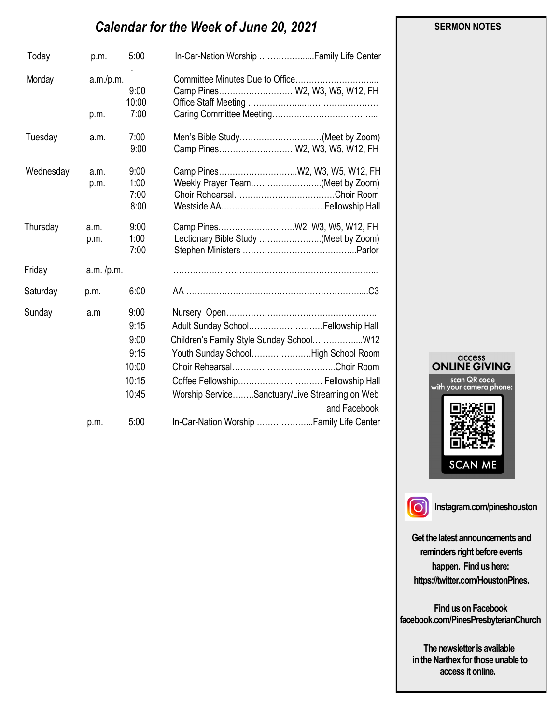# *Calendar for the Week of June 20, 2021*

| Today     | p.m.              | 5:00                                                    |                                                                                                                                                                                   |
|-----------|-------------------|---------------------------------------------------------|-----------------------------------------------------------------------------------------------------------------------------------------------------------------------------------|
| Monday    | a.m./p.m.<br>p.m. | 9:00<br>10:00<br>7:00                                   |                                                                                                                                                                                   |
| Tuesday   | a.m.              | 7:00<br>9:00                                            | Men's Bible Study(Meet by Zoom)                                                                                                                                                   |
| Wednesday | a.m.<br>p.m.      | 9:00<br>1:00<br>7:00<br>8:00                            | Weekly Prayer Team(Meet by Zoom)                                                                                                                                                  |
| Thursday  | a.m.<br>p.m.      | 9:00<br>1:00<br>7:00                                    | Lectionary Bible Study (Meet by Zoom)                                                                                                                                             |
| Friday    | a.m. / p.m.       |                                                         |                                                                                                                                                                                   |
| Saturday  | p.m.              | 6:00                                                    |                                                                                                                                                                                   |
| Sunday    | a.m               | 9:00<br>9:15<br>9:00<br>9:15<br>10:00<br>10:15<br>10:45 | Adult Sunday School Fellowship Hall<br>Youth Sunday SchoolHigh School Room<br>Coffee Fellowship Fellowship Hall<br>Worship ServiceSanctuary/Live Streaming on Web<br>and Facebook |
|           | p.m.              | 5:00                                                    | In-Car-Nation Worship  Family Life Center                                                                                                                                         |



 **SERMON NOTES** 

 $\overline{)}$ 

**Instagram.com/pineshouston**

**Get the latest announcements and reminders right before events happen. Find us here: https://twitter.com/HoustonPines.** 

 **Find us on Facebook facebook.com/PinesPresbyterianChurch** 

 **The newsletter is available in the Narthex for those unable to access it online.**